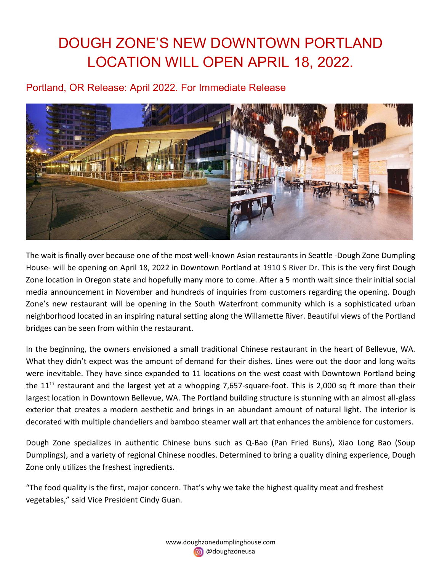# DOUGH ZONE'S NEW DOWNTOWN PORTLAND LOCATION WILL OPEN APRIL 18, 2022.

# Portland, OR Release: April 2022. For Immediate Release



The wait is finally over because one of the most well-known Asian restaurants in Seattle -Dough Zone Dumpling House- will be opening on April 18, 2022 in Downtown Portland at 1910 S River Dr. This is the very first Dough Zone location in Oregon state and hopefully many more to come. After a 5 month wait since their initial social media announcement in November and hundreds of inquiries from customers regarding the opening. Dough Zone's new restaurant will be opening in the South Waterfront community which is a sophisticated urban neighborhood located in an inspiring natural setting along the Willamette River. Beautiful views of the Portland bridges can be seen from within the restaurant.

In the beginning, the owners envisioned a small traditional Chinese restaurant in the heart of Bellevue, WA. What they didn't expect was the amount of demand for their dishes. Lines were out the door and long waits were inevitable. They have since expanded to 11 locations on the west coast with Downtown Portland being the 11<sup>th</sup> restaurant and the largest yet at a whopping 7,657-square-foot. This is 2,000 sq ft more than their largest location in Downtown Bellevue, WA. The Portland building structure is stunning with an almost all-glass exterior that creates a modern aesthetic and brings in an abundant amount of natural light. The interior is decorated with multiple chandeliers and bamboo steamer wall art that enhances the ambience for customers.

Dough Zone specializes in authentic Chinese buns such as Q-Bao (Pan Fried Buns), Xiao Long Bao (Soup Dumplings), and a variety of regional Chinese noodles. Determined to bring a quality dining experience, Dough Zone only utilizes the freshest ingredients.

"The food quality is the first, major concern. That's why we take the highest quality meat and freshest vegetables," said Vice President Cindy Guan.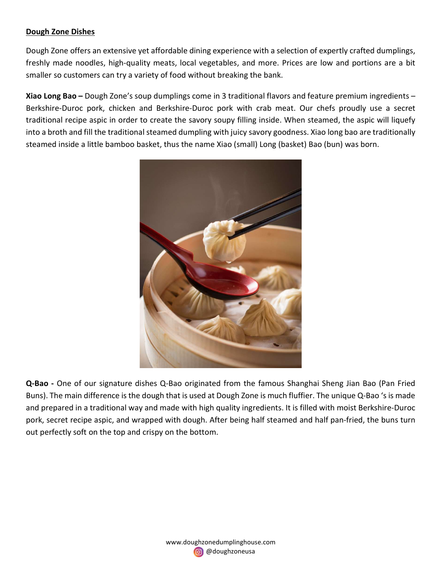# Dough Zone Dishes

Dough Zone offers an extensive yet affordable dining experience with a selection of expertly crafted dumplings, freshly made noodles, high-quality meats, local vegetables, and more. Prices are low and portions are a bit smaller so customers can try a variety of food without breaking the bank.

Xiao Long Bao – Dough Zone's soup dumplings come in 3 traditional flavors and feature premium ingredients – Berkshire-Duroc pork, chicken and Berkshire-Duroc pork with crab meat. Our chefs proudly use a secret traditional recipe aspic in order to create the savory soupy filling inside. When steamed, the aspic will liquefy into a broth and fill the traditional steamed dumpling with juicy savory goodness. Xiao long bao are traditionally steamed inside a little bamboo basket, thus the name Xiao (small) Long (basket) Bao (bun) was born.



Q-Bao - One of our signature dishes Q-Bao originated from the famous Shanghai Sheng Jian Bao (Pan Fried Buns). The main difference is the dough that is used at Dough Zone is much fluffier. The unique Q-Bao 's is made and prepared in a traditional way and made with high quality ingredients. It is filled with moist Berkshire-Duroc pork, secret recipe aspic, and wrapped with dough. After being half steamed and half pan-fried, the buns turn out perfectly soft on the top and crispy on the bottom.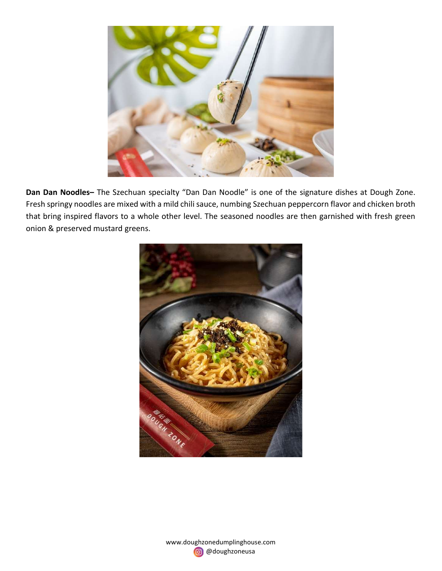

Dan Dan Noodles- The Szechuan specialty "Dan Dan Noodle" is one of the signature dishes at Dough Zone. Fresh springy noodles are mixed with a mild chili sauce, numbing Szechuan peppercorn flavor and chicken broth that bring inspired flavors to a whole other level. The seasoned noodles are then garnished with fresh green onion & preserved mustard greens.



www.doughzonedumplinghouse.com @doughzoneusa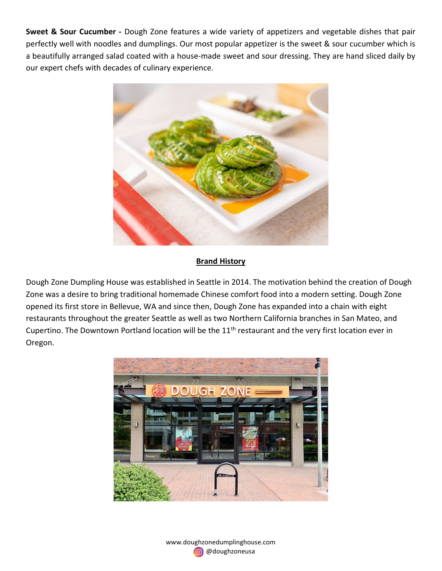Sweet & Sour Cucumber - Dough Zone features a wide variety of appetizers and vegetable dishes that pair perfectly well with noodles and dumplings. Our most popular appetizer is the sweet & sour cucumber which is a beautifully arranged salad coated with a house-made sweet and sour dressing. They are hand sliced daily by our expert chefs with decades of culinary experience.



# **Brand History**

Dough Zone Dumpling House was established in Seattle in 2014. The motivation behind the creation of Dough Zone was a desire to bring traditional homemade Chinese comfort food into a modern setting. Dough Zone opened its first store in Bellevue, WA and since then, Dough Zone has expanded into a chain with eight restaurants throughout the greater Seattle as well as two Northern California branches in San Mateo, and Cupertino. The Downtown Portland location will be the 11<sup>th</sup> restaurant and the very first location ever in Oregon.



www.doughzonedumplinghouse.com @doughzoneusa